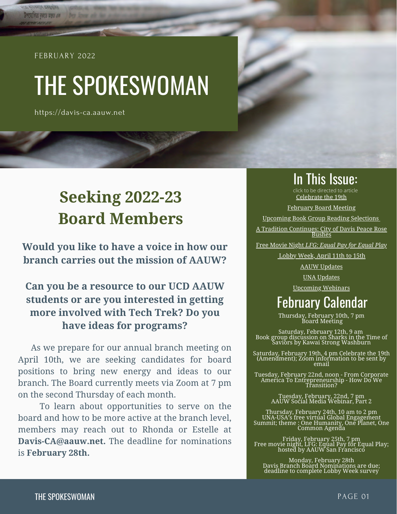#### FEBRUARY 2022

**COLOR CORPORA** উপযোগিতা বঝতে অন্তত এক

# THE SPOKESWOMAN

https://davis-ca.aauw.net

## **Seeking 2022-23 Board Members**

**Would you like to have a voice in how our branch carries out the mission of AAUW?**

#### **Can you be a resource to our UCD AAUW students or are you interested in getting more involved with Tech Trek? Do you have ideas for programs?**

 As we prepare for our annual branch meeting on April 10th, we are seeking candidates for board positions to bring new energy and ideas to our branch. The Board currently meets via Zoom at 7 pm on the second Thursday of each month.

 To learn about opportunities to serve on the board and how to be more active at the branch level, members may reach out to Rhonda or Estelle at **Davis-CA@aauw.net.** The deadline for nominations is **February 28th.**

#### In This Issue:

Celebrate the 19th click to be directed to article

February Board Meeting

Upcoming Book Group Reading Selections

A Tradition Continues: City of Davis Peace Rose Bushes

Free Movie Night *LFG: Equal Pay for Equal Play*

Lobby Week, April 11th to 15th

AAUW Updates

UNA Updates

Upcoming Webinars

## February Calendar

Thursday, February 10th, 7 pm Board Meeting

Saturday, February 12th, 9 am Book group discussion on Sharks in the Time of Saviors by Kawai Strong Washburn

Saturday, February 19th, 4 pm Celebrate the 19th (Amendment); Zoom information to be sent by email

Tuesday, February 22nd, noon - From Corporate America To Entrepreneurship - How Do We Transition?

> Tuesday, February, 22nd, 7 pm AAUW Social Media Webinar, Part 2

Thursday, February 24th, 10 am to 2 pm UNA-USA's free virtual Global Engagement Summit; theme : One Humanity, One Planet, One Common Agenda

Friday, February 25th, 7 pm Free movie night, LFG: Equal Pay for Equal Play; hosted by AAUW San Francisco

Monday, February 28th Davis Branch Board Nominations are due; deadline to complete Lobby Week survey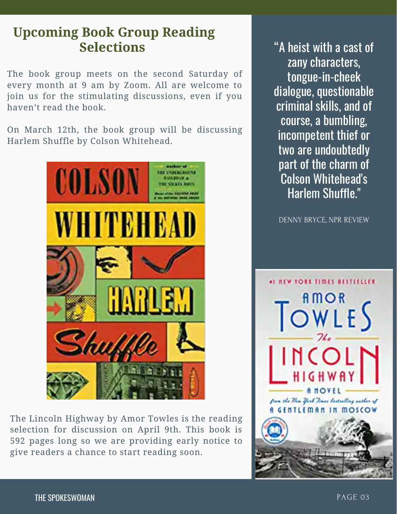## **Upcoming Book Group Reading Selections** "A heist with a cast of

The book group meets on the second Saturday of every month at 9 am by Zoom. All are welcome to join us for the stimulating discussions, even if you haven't read the book.

On March 12th, the book group will be discussing Harlem Shuffle by Colson Whitehead.



The Lincoln Highway by Amor Towles is the reading selection for discussion on April 9th. This book is 592 pages long so we are providing early notice to give readers a chance to start reading soon.

zany characters, tongue-in-cheek dialogue, questionable criminal skills, and of course, a bumbling, incompetent thief or two are undoubtedly part of the charm of Colson Whitehead's Harlem Shuffle."

DENNY BRYCE, NPR REVIEW

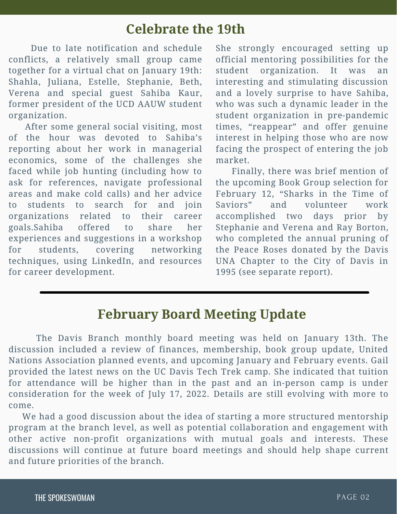### **Celebrate the 19th**

 Due to late notification and schedule conflicts, a relatively small group came together for a virtual chat on January 19th: Shahla, Juliana, Estelle, Stephanie, Beth, Verena and special guest Sahiba Kaur, former president of the UCD AAUW student organization.

 After some general social visiting, most of the hour was devoted to Sahiba's reporting about her work in managerial economics, some of the challenges she faced while job hunting (including how to ask for references, navigate professional areas and make cold calls) and her advice to students to search for and join organizations related to their career goals.Sahiba offered to share her experiences and suggestions in a workshop for students, covering networking techniques, using LinkedIn, and resources for career development.

She strongly encouraged setting up official mentoring possibilities for the student organization. It was an interesting and stimulating discussion and a lovely surprise to have Sahiba, who was such a dynamic leader in the student organization in pre-pandemic times, "reappear" and offer genuine interest in helping those who are now facing the prospect of entering the job market.

 Finally, there was brief mention of the upcoming Book Group selection for February 12, "Sharks in the Time of Saviors" and volunteer work accomplished two days prior by Stephanie and Verena and Ray Borton, who completed the annual pruning of the Peace Roses donated by the Davis UNA Chapter to the City of Davis in 1995 (see separate report).

### **February Board Meeting Update**

 The Davis Branch monthly board meeting was held on January 13th. The discussion included a review of finances, membership, book group update, United Nations Association planned events, and upcoming January and February events. Gail provided the latest news on the UC Davis Tech Trek camp. She indicated that tuition for attendance will be higher than in the past and an in-person camp is under consideration for the week of July 17, 2022. Details are still evolving with more to come.

 We had a good discussion about the idea of starting a more structured mentorship program at the branch level, as well as potential collaboration and engagement with other active non-profit organizations with mutual goals and interests. These discussions will continue at future board meetings and should help shape current and future priorities of the branch.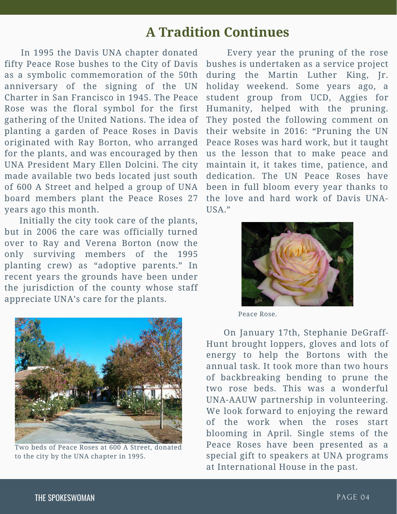### **A Tradition Continues**

 In 1995 the Davis UNA chapter donated fifty Peace Rose bushes to the City of Davis as a symbolic commemoration of the 50th anniversary of the signing of the UN Charter in San Francisco in 1945. The Peace Rose was the floral symbol for the first gathering of the United Nations. The idea of planting a garden of Peace Roses in Davis originated with Ray Borton, who arranged for the plants, and was encouraged by then UNA President Mary Ellen Dolcini. The city made available two beds located just south of 600 A Street and helped a group of UNA board members plant the Peace Roses 27 years ago this month.

 Initially the city took care of the plants, but in 2006 the care was officially turned over to Ray and Verena Borton (now the only surviving members of the 1995 planting crew) as "adoptive parents." In recent years the grounds have been under the jurisdiction of the county whose staff appreciate UNA's care for the plants.



Two beds of Peace Roses at 600 A Street, donated to the city by the UNA chapter in 1995.

 Every year the pruning of the rose bushes is undertaken as a service project during the Martin Luther King, Jr. holiday weekend. Some years ago, a student group from UCD, Aggies for Humanity, helped with the pruning. They posted the following comment on their website in 2016: "Pruning the UN Peace Roses was hard work, but it taught us the lesson that to make peace and maintain it, it takes time, patience, and dedication. The UN Peace Roses have been in full bloom every year thanks to the love and hard work of Davis UNA-USA."



Peace Rose.

 On January 17th, Stephanie DeGraff-Hunt brought loppers, gloves and lots of energy to help the Bortons with the annual task. It took more than two hours of backbreaking bending to prune the two rose beds. This was a wonderful UNA-AAUW partnership in volunteering. We look forward to enjoying the reward of the work when the roses start blooming in April. Single stems of the Peace Roses have been presented as a special gift to speakers at UNA programs at International House in the past.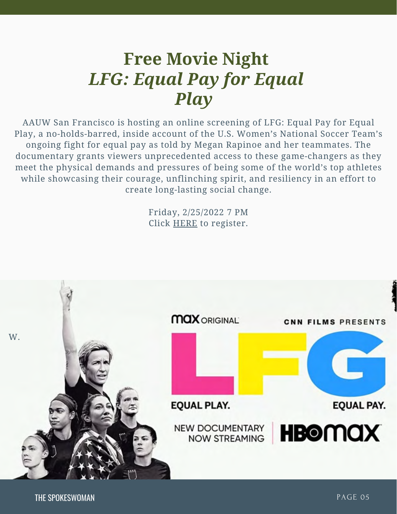## **Free Movie Night** *LFG: Equal Pay for Equal Play*

AAUW San Francisco is hosting an online screening of LFG: Equal Pay for Equal Play, a no-holds-barred, inside account of the U.S. Women's National Soccer Team's ongoing fight for equal pay as told by Megan Rapinoe and her teammates. The documentary grants viewers unprecedented access to these game-changers as they meet the physical demands and pressures of being some of the world's top athletes while showcasing their courage, unflinching spirit, and resiliency in an effort to create long-lasting social change.

> Friday, 2/25/2022 7 PM Click HERE to register.

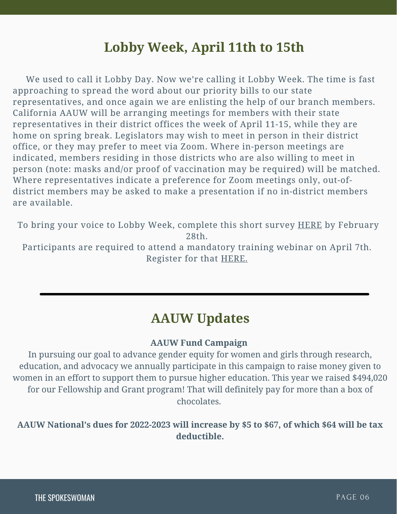## **Lobby Week, April 11th to 15th**

 We used to call it Lobby Day. Now we're calling it Lobby Week. The time is fast approaching to spread the word about our priority bills to our state representatives, and once again we are enlisting the help of our branch members. California AAUW will be arranging meetings for members with their state representatives in their district offices the week of April 11-15, while they are home on spring break. Legislators may wish to meet in person in their district office, or they may prefer to meet via Zoom. Where in-person meetings are indicated, members residing in those districts who are also willing to meet in person (note: masks and/or proof of vaccination may be required) will be matched. Where representatives indicate a preference for Zoom meetings only, out-ofdistrict members may be asked to make a presentation if no in-district members are available.

To bring your voice to Lobby Week, complete this short survey **HERE** by February 28th. Participants are required to attend a mandatory training webinar on April 7th. Register for that HERE.

### **AAUW Updates**

#### **AAUW Fund Campaign**

In pursuing our goal to advance gender equity for women and girls through research, education, and advocacy we annually participate in this campaign to raise money given to women in an effort to support them to pursue higher education. This year we raised \$494,020 for our Fellowship and Grant program! That will definitely pay for more than a box of chocolates.

**AAUW National's dues for 2022-2023 will increase by \$5 to \$67, of which \$64 will be tax deductible.**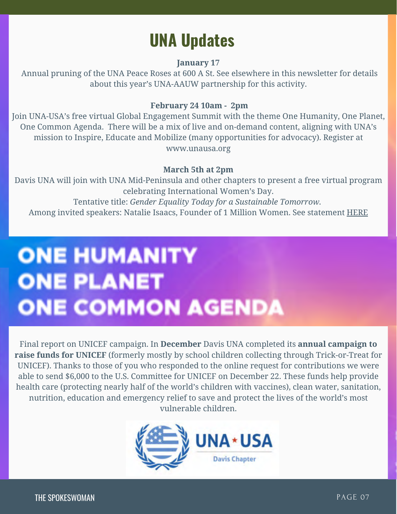## **UNA Updates**

#### **January 17**

Annual pruning of the UNA Peace Roses at 600 A St. See elsewhere in this newsletter for details about this year's UNA-AAUW partnership for this activity.

#### **February 24 10am - 2pm**

Join UNA-USA's free virtual Global Engagement Summit with the theme One Humanity, One Planet, One Common Agenda. There will be a mix of live and on-demand content, aligning with UNA's mission to Inspire, Educate and Mobilize (many opportunities for advocacy). Register at www.unausa.org

#### **March 5th at 2pm**

Davis UNA will join with UNA Mid-Peninsula and other chapters to present a free virtual program celebrating International Women's Day. Tentative title: *Gender Equality Today for a Sustainable Tomorrow.* Among invited speakers: Natalie Isaacs, Founder of 1 Million Women. See statement HERE

# **ONE HUMANITY ONE PLANET ONE COMMON AGENDA**

Final report on UNICEF campaign. In **December** Davis UNA completed its **annual campaign to raise funds for UNICEF** (formerly mostly by school children collecting through Trick-or-Treat for UNICEF). Thanks to those of you who responded to the online request for contributions we were able to send \$6,000 to the U.S. Committee for UNICEF on December 22. These funds help provide health care (protecting nearly half of the world's children with vaccines), clean water, sanitation, nutrition, education and emergency relief to save and protect the lives of the world's most vulnerable children.